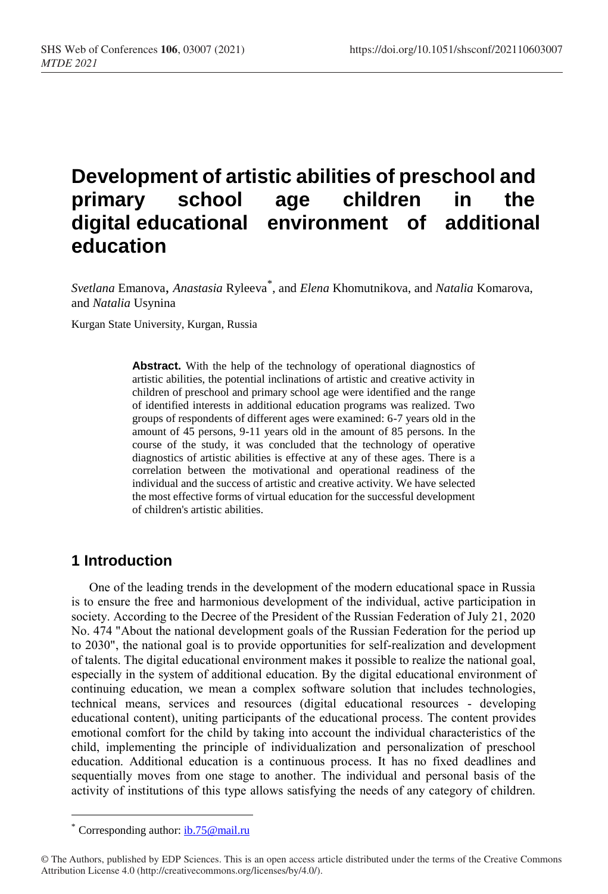# **Development of artistic abilities of preschool and primary school age children in the digital educational environment of additional education**

*Svetlana* Emanova, *Anastasia* Ryleeva\* , and *Elena* Khomutnikova, and *Natalia* Komarova, and *Natalia* Usynina

Kurgan State University, Kurgan, Russia

**Abstract.** With the help of the technology of operational diagnostics of artistic abilities, the potential inclinations of artistic and creative activity in children of preschool and primary school age were identified and the range of identified interests in additional education programs was realized. Two groups of respondents of different ages were examined: 6-7 years old in the amount of 45 persons, 9-11 years old in the amount of 85 persons. In the course of the study, it was concluded that the technology of operative diagnostics of artistic abilities is effective at any of these ages. There is a correlation between the motivational and operational readiness of the individual and the success of artistic and creative activity. We have selected the most effective forms of virtual education for the successful development of children's artistic abilities.

### **1 Introduction**

One of the leading trends in the development of the modern educational space in Russia is to ensure the free and harmonious development of the individual, active participation in society. According to the Decree of the President of the Russian Federation of July 21, 2020 No. 474 "About the national development goals of the Russian Federation for the period up to 2030", the national goal is to provide opportunities for self-realization and development of talents. The digital educational environment makes it possible to realize the national goal, especially in the system of additional education. By the digital educational environment of continuing education, we mean a complex software solution that includes technologies, technical means, services and resources (digital educational resources - developing educational content), uniting participants of the educational process. The content provides emotional comfort for the child by taking into account the individual characteristics of the child, implementing the principle of individualization and personalization of preschool education. Additional education is a continuous process. It has no fixed deadlines and sequentially moves from one stage to another. The individual and personal basis of the activity of institutions of this type allows satisfying the needs of any category of children.

<sup>\*</sup> Corresponding author: [ib.75@mail.ru](mailto:ib.75@mail.ru)

<sup>©</sup> The Authors, published by EDP Sciences. This is an open access article distributed under the terms of the Creative Commons Attribution License 4.0 (http://creativecommons.org/licenses/by/4.0/).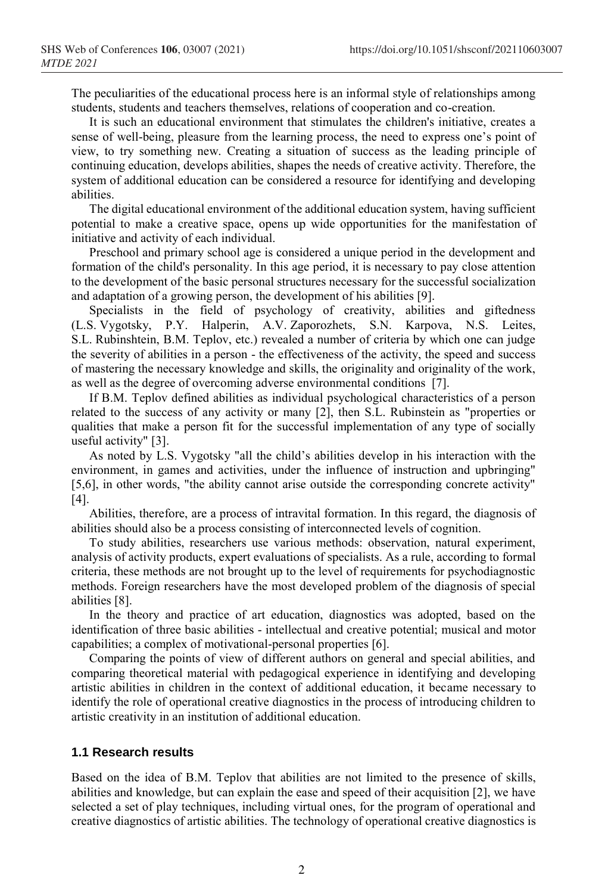The peculiarities of the educational process here is an informal style of relationships among students, students and teachers themselves, relations of cooperation and co-creation.

It is such an educational environment that stimulates the children's initiative, creates a sense of well-being, pleasure from the learning process, the need to express one's point of view, to try something new. Creating a situation of success as the leading principle of continuing education, develops abilities, shapes the needs of creative activity. Therefore, the system of additional education can be considered a resource for identifying and developing abilities.

The digital educational environment of the additional education system, having sufficient potential to make a creative space, opens up wide opportunities for the manifestation of initiative and activity of each individual.

Preschool and primary school age is considered a unique period in the development and formation of the child's personality. In this age period, it is necessary to pay close attention to the development of the basic personal structures necessary for the successful socialization and adaptation of a growing person, the development of his abilities [9].

Specialists in the field of psychology of creativity, abilities and giftedness (L.S. Vygotsky, P.Y. Halperin, A.V. Zaporozhets, S.N. Karpova, N.S. Leites, S.L. Rubinshtein, B.M. Teplov, etc.) revealed a number of criteria by which one can judge the severity of abilities in a person - the effectiveness of the activity, the speed and success of mastering the necessary knowledge and skills, the originality and originality of the work, as well as the degree of overcoming adverse environmental conditions [7].

If B.M. Teplov defined abilities as individual psychological characteristics of a person related to the success of any activity or many [2], then S.L. Rubinstein as "properties or qualities that make a person fit for the successful implementation of any type of socially useful activity" [3].

As noted by L.S. Vygotsky "all the child's abilities develop in his interaction with the environment, in games and activities, under the influence of instruction and upbringing" [5,6], in other words, "the ability cannot arise outside the corresponding concrete activity" [4].

Abilities, therefore, are a process of intravital formation. In this regard, the diagnosis of abilities should also be a process consisting of interconnected levels of cognition.

To study abilities, researchers use various methods: observation, natural experiment, analysis of activity products, expert evaluations of specialists. As a rule, according to formal criteria, these methods are not brought up to the level of requirements for psychodiagnostic methods. Foreign researchers have the most developed problem of the diagnosis of special abilities [8].

In the theory and practice of art education, diagnostics was adopted, based on the identification of three basic abilities - intellectual and creative potential; musical and motor capabilities; a complex of motivational-personal properties [6].

Comparing the points of view of different authors on general and special abilities, and comparing theoretical material with pedagogical experience in identifying and developing artistic abilities in children in the context of additional education, it became necessary to identify the role of operational creative diagnostics in the process of introducing children to artistic creativity in an institution of additional education.

#### **1.1 Research results**

Based on the idea of B.M. Teplov that abilities are not limited to the presence of skills, abilities and knowledge, but can explain the ease and speed of their acquisition [2], we have selected a set of play techniques, including virtual ones, for the program of operational and creative diagnostics of artistic abilities. The technology of operational creative diagnostics is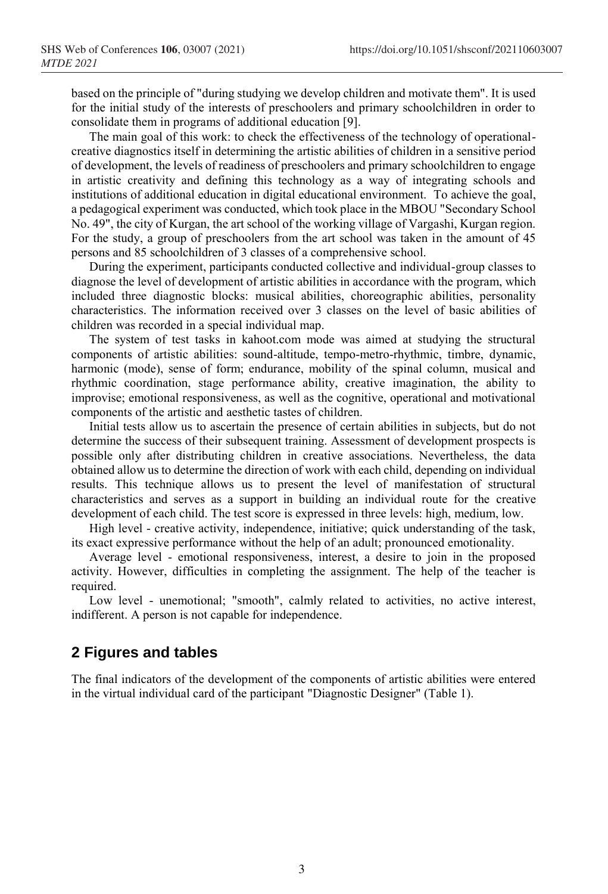based on the principle of "during studying we develop children and motivate them". It is used for the initial study of the interests of preschoolers and primary schoolchildren in order to consolidate them in programs of additional education [9].

The main goal of this work: to check the effectiveness of the technology of operationalcreative diagnostics itself in determining the artistic abilities of children in a sensitive period of development, the levels of readiness of preschoolers and primary schoolchildren to engage in artistic creativity and defining this technology as a way of integrating schools and institutions of additional education in digital educational environment. To achieve the goal, a pedagogical experiment was conducted, which took place in the MBOU "Secondary School No. 49", the city of Kurgan, the art school of the working village of Vargashi, Kurgan region. For the study, a group of preschoolers from the art school was taken in the amount of 45 persons and 85 schoolchildren of 3 classes of a comprehensive school.

During the experiment, participants conducted collective and individual-group classes to diagnose the level of development of artistic abilities in accordance with the program, which included three diagnostic blocks: musical abilities, choreographic abilities, personality characteristics. The information received over 3 classes on the level of basic abilities of children was recorded in a special individual map.

The system of test tasks in kahoot.com mode was aimed at studying the structural components of artistic abilities: sound-altitude, tempo-metro-rhythmic, timbre, dynamic, harmonic (mode), sense of form; endurance, mobility of the spinal column, musical and rhythmic coordination, stage performance ability, creative imagination, the ability to improvise; emotional responsiveness, as well as the cognitive, operational and motivational components of the artistic and aesthetic tastes of children.

Initial tests allow us to ascertain the presence of certain abilities in subjects, but do not determine the success of their subsequent training. Assessment of development prospects is possible only after distributing children in creative associations. Nevertheless, the data obtained allow us to determine the direction of work with each child, depending on individual results. This technique allows us to present the level of manifestation of structural characteristics and serves as a support in building an individual route for the creative development of each child. The test score is expressed in three levels: high, medium, low.

High level - creative activity, independence, initiative; quick understanding of the task, its exact expressive performance without the help of an adult; pronounced emotionality.

Average level - emotional responsiveness, interest, a desire to join in the proposed activity. However, difficulties in completing the assignment. The help of the teacher is required.

Low level - unemotional; "smooth", calmly related to activities, no active interest, indifferent. A person is not capable for independence.

## **2 Figures and tables**

The final indicators of the development of the components of artistic abilities were entered in the virtual individual card of the participant "Diagnostic Designer" (Table 1).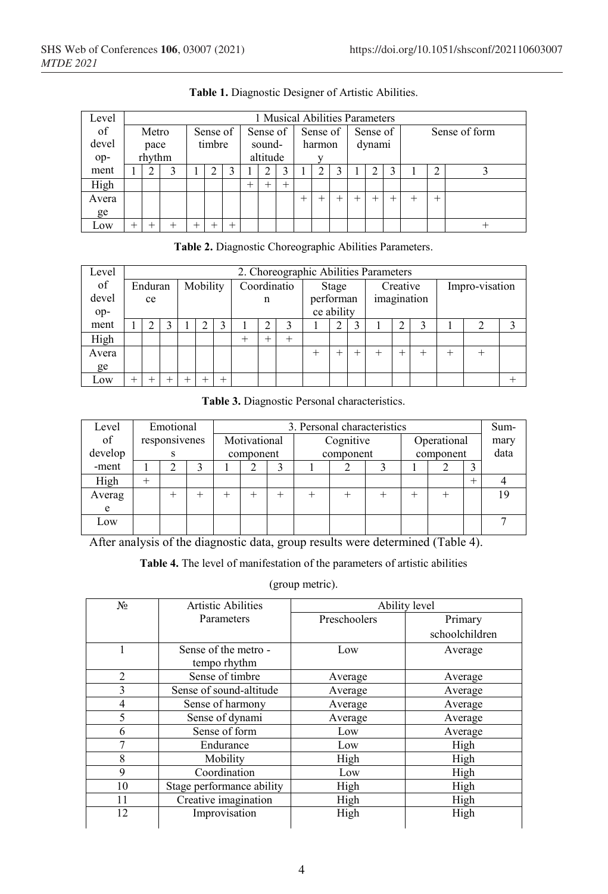| Level |      | 1 Musical Abilities Parameters |        |  |          |  |          |          |        |          |        |        |          |  |      |               |        |  |  |
|-------|------|--------------------------------|--------|--|----------|--|----------|----------|--------|----------|--------|--------|----------|--|------|---------------|--------|--|--|
| of    |      | Metro                          |        |  | Sense of |  | Sense of |          |        | Sense of |        |        | Sense of |  |      | Sense of form |        |  |  |
| devel | pace |                                | timbre |  |          |  | sound-   |          |        | harmon   |        | dynami |          |  |      |               |        |  |  |
| op-   |      | rhythm                         |        |  |          |  |          | altitude |        |          |        |        |          |  |      |               |        |  |  |
| ment  |      |                                |        |  |          |  |          |          |        |          |        |        |          |  |      |               |        |  |  |
| High  |      |                                |        |  |          |  | $^+$     |          | $^{+}$ |          |        |        |          |  |      |               |        |  |  |
| Avera |      |                                |        |  |          |  |          |          |        | $^{+}$   | $^{+}$ |        | $^{+}$   |  | $^+$ | $^+$          | $^{+}$ |  |  |
| ge    |      |                                |        |  |          |  |          |          |        |          |        |        |          |  |      |               |        |  |  |
| Low   | $^+$ |                                |        |  |          |  |          |          |        |          |        |        |          |  |      |               |        |  |  |

**Table 1.** Diagnostic Designer of Artistic Abilities.

|  |  | Table 2. Diagnostic Choreographic Abilities Parameters. |  |
|--|--|---------------------------------------------------------|--|
|--|--|---------------------------------------------------------|--|

| Level |      | 2. Choreographic Abilities Parameters |  |          |  |        |             |  |       |              |  |        |          |             |  |                |  |  |
|-------|------|---------------------------------------|--|----------|--|--------|-------------|--|-------|--------------|--|--------|----------|-------------|--|----------------|--|--|
| of    |      | Enduran                               |  | Mobility |  |        | Coordinatio |  |       | <b>Stage</b> |  |        | Creative |             |  | Impro-visation |  |  |
| devel |      | ce                                    |  |          |  |        | n           |  |       | performan    |  |        |          | imagination |  |                |  |  |
| op-   |      |                                       |  |          |  |        |             |  |       | ce ability   |  |        |          |             |  |                |  |  |
| ment  |      |                                       |  |          |  |        |             |  |       |              |  |        |          |             |  |                |  |  |
| High  |      |                                       |  |          |  |        |             |  | $\pm$ |              |  |        |          |             |  |                |  |  |
| Avera |      |                                       |  |          |  |        |             |  |       |              |  | $^{+}$ |          |             |  | $^{+}$         |  |  |
| ge    |      |                                       |  |          |  |        |             |  |       |              |  |        |          |             |  |                |  |  |
| Low   | $^+$ |                                       |  |          |  | $^{+}$ |             |  |       |              |  |        |          |             |  |                |  |  |

**Table 3.** Diagnostic Personal characteristics.

| Level   |      | Emotional                   |   |              |  |  | 3. Personal characteristics | Sum- |  |           |             |      |      |
|---------|------|-----------------------------|---|--------------|--|--|-----------------------------|------|--|-----------|-------------|------|------|
| of      |      | responsivenes               |   | Motivational |  |  | Cognitive                   |      |  |           | Operational |      | mary |
| develop |      |                             |   | component    |  |  | component                   |      |  | component |             |      | data |
| -ment   |      |                             |   |              |  |  |                             |      |  |           |             |      |      |
| High    | $^+$ |                             |   |              |  |  |                             |      |  |           |             | $^+$ |      |
| Averag  |      |                             |   |              |  |  |                             |      |  |           |             |      | 19   |
| e       |      |                             |   |              |  |  |                             |      |  |           |             |      |      |
| Low     |      |                             |   |              |  |  |                             |      |  |           |             |      |      |
|         |      | $\sim$ $\sim$ $\sim$ $\sim$ | . |              |  |  |                             |      |  |           | .           |      |      |

After analysis of the diagnostic data, group results were determined (Table 4).

**Table 4.** The level of manifestation of the parameters of artistic abilities

(group metric).

| N <sub>0</sub> | Artistic Abilities                   |              | Ability level  |
|----------------|--------------------------------------|--------------|----------------|
|                | Parameters                           | Preschoolers | Primary        |
|                |                                      |              | schoolchildren |
| 1              | Sense of the metro -<br>tempo rhythm | Low          | Average        |
| $\overline{2}$ | Sense of timbre                      | Average      | Average        |
| 3              | Sense of sound-altitude              | Average      | Average        |
| 4              | Sense of harmony                     | Average      | Average        |
| 5              | Sense of dynami                      | Average      | Average        |
| 6              | Sense of form                        | Low          | Average        |
| 7              | Endurance                            | Low          | High           |
| 8              | Mobility                             | High         | High           |
| 9              | Coordination                         | Low          | High           |
| 10             | Stage performance ability            | High         | High           |
| 11             | Creative imagination                 | High         | High           |
| 12             | Improvisation                        | High         | High           |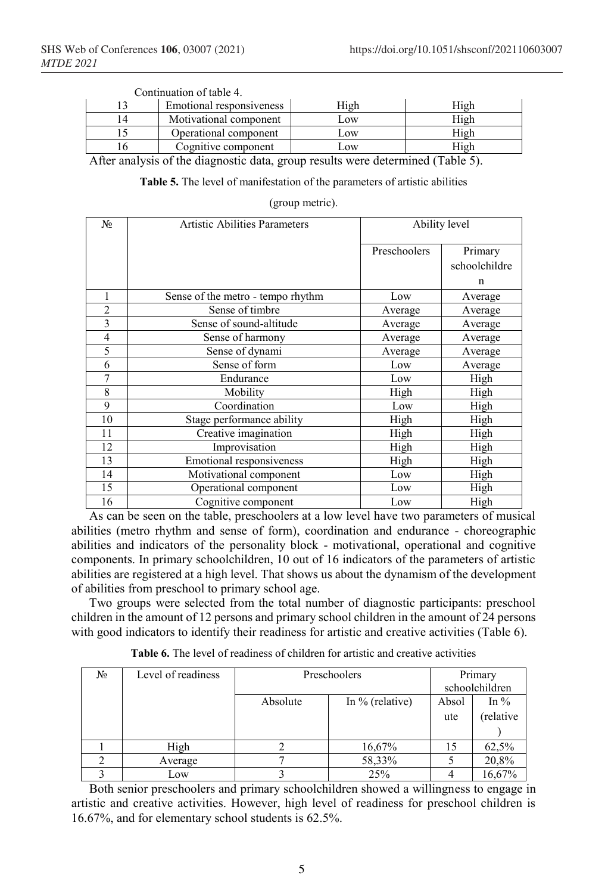|    | Continuation of table 4. |      |        |
|----|--------------------------|------|--------|
|    | Emotional responsiveness | Iigh | High   |
| 14 | Motivational component   | .ow  | 11 g h |
|    | Operational component    | .ow  | 11 o h |
|    | Cognitive component      | .OW  | High   |

 $\text{C}_{\text{C}}$  Continuation of table 4.

After analysis of the diagnostic data, group results were determined (Table 5).

**Table 5.** The level of manifestation of the parameters of artistic abilities

| (group metric). |  |
|-----------------|--|
|                 |  |

| N <sub>0</sub> | Artistic Abilities Parameters     | Ability level |               |  |  |  |
|----------------|-----------------------------------|---------------|---------------|--|--|--|
|                |                                   | Preschoolers  | Primary       |  |  |  |
|                |                                   |               | schoolchildre |  |  |  |
|                |                                   |               | n             |  |  |  |
|                | Sense of the metro - tempo rhythm | Low           | Average       |  |  |  |
| $\overline{2}$ | Sense of timbre                   | Average       | Average       |  |  |  |
| 3              | Sense of sound-altitude           | Average       | Average       |  |  |  |
| $\overline{4}$ | Sense of harmony                  | Average       | Average       |  |  |  |
| 5              | Sense of dynami                   | Average       | Average       |  |  |  |
| 6              | Sense of form                     | Low           | Average       |  |  |  |
| 7              | Endurance                         | Low           | High          |  |  |  |
| 8              | Mobility                          | High          | High          |  |  |  |
| 9              | Coordination                      | Low           | High          |  |  |  |
| 10             | Stage performance ability         | High          | High          |  |  |  |
| 11             | Creative imagination              | High          | High          |  |  |  |
| 12             | Improvisation                     | High          | High          |  |  |  |
| 13             | Emotional responsiveness          | High          | High          |  |  |  |
| 14             | Motivational component            | Low           | High          |  |  |  |
| 15             | Operational component             | Low           | High          |  |  |  |
| 16             | Cognitive component               | Low           | High          |  |  |  |

As can be seen on the table, preschoolers at a low level have two parameters of musical abilities (metro rhythm and sense of form), coordination and endurance - choreographic abilities and indicators of the personality block - motivational, operational and cognitive components. In primary schoolchildren, 10 out of 16 indicators of the parameters of artistic abilities are registered at a high level. That shows us about the dynamism of the development of abilities from preschool to primary school age.

Two groups were selected from the total number of diagnostic participants: preschool children in the amount of 12 persons and primary school children in the amount of 24 persons with good indicators to identify their readiness for artistic and creative activities (Table 6).

| No | Level of readiness | Preschoolers | Primary           |       |           |  |  |
|----|--------------------|--------------|-------------------|-------|-----------|--|--|
|    |                    |              | schoolchildren    |       |           |  |  |
|    |                    | Absolute     | In $%$ (relative) | Absol | In $\%$   |  |  |
|    |                    |              |                   | ute   | (relative |  |  |
|    |                    |              |                   |       |           |  |  |
|    | High               |              | 16,67%            | 15    | 62,5%     |  |  |
|    | Average            |              | 58,33%            |       | 20,8%     |  |  |
|    | Low                |              | 25%               |       | 16,67%    |  |  |

**Table 6.** The level of readiness of children for artistic and creative activities

Both senior preschoolers and primary schoolchildren showed a willingness to engage in artistic and creative activities. However, high level of readiness for preschool children is 16.67%, and for elementary school students is 62.5%.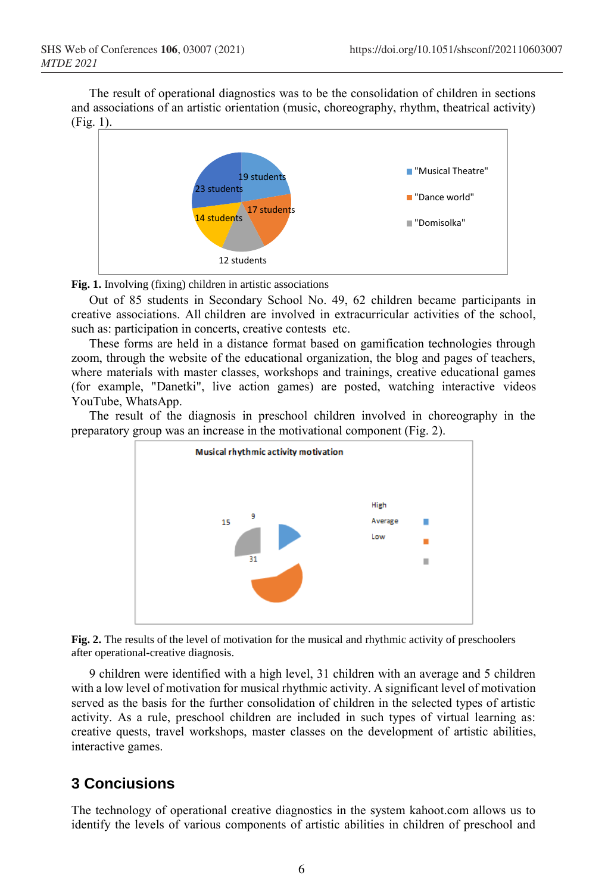The result of operational diagnostics was to be the consolidation of children in sections and associations of an artistic orientation (music, choreography, rhythm, theatrical activity) (Fig. 1).



**Fig. 1.** Involving (fixing) children in artistic associations

Out of 85 students in Secondary School No. 49, 62 children became participants in creative associations. All children are involved in extracurricular activities of the school, such as: participation in concerts, creative contests etc.

These forms are held in a distance format based on gamification technologies through zoom, through the website of the educational organization, the blog and pages of teachers, where materials with master classes, workshops and trainings, creative educational games (for example, "Danetki", live action games) are posted, watching interactive videos YouTube, WhatsApp.

The result of the diagnosis in preschool children involved in choreography in the preparatory group was an increase in the motivational component (Fig. 2).



**Fig. 2.** The results of the level of motivation for the musical and rhythmic activity of preschoolers after operational-creative diagnosis.

9 children were identified with a high level, 31 children with an average and 5 children with a low level of motivation for musical rhythmic activity. A significant level of motivation served as the basis for the further consolidation of children in the selected types of artistic activity. As a rule, preschool children are included in such types of virtual learning as: creative quests, travel workshops, master classes on the development of artistic abilities, interactive games.

# **3 Conciusions**

The technology of operational creative diagnostics in the system kahoot.com allows us to identify the levels of various components of artistic abilities in children of preschool and